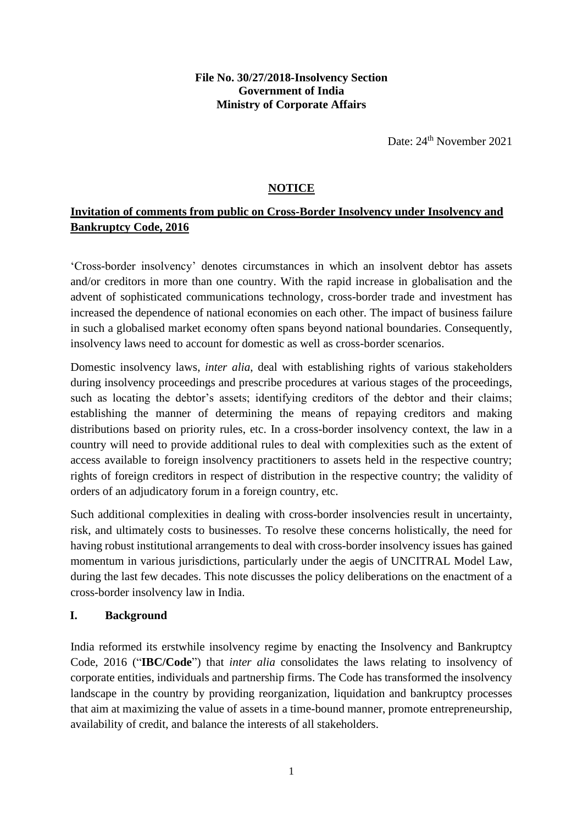#### **File No. 30/27/2018-Insolvency Section Government of India Ministry of Corporate Affairs**

Date: 24<sup>th</sup> November 2021

### **NOTICE**

# **Invitation of comments from public on Cross-Border Insolvency under Insolvency and Bankruptcy Code, 2016**

'Cross-border insolvency' denotes circumstances in which an insolvent debtor has assets and/or creditors in more than one country. With the rapid increase in globalisation and the advent of sophisticated communications technology, cross-border trade and investment has increased the dependence of national economies on each other. The impact of business failure in such a globalised market economy often spans beyond national boundaries. Consequently, insolvency laws need to account for domestic as well as cross-border scenarios.

Domestic insolvency laws, *inter alia*, deal with establishing rights of various stakeholders during insolvency proceedings and prescribe procedures at various stages of the proceedings, such as locating the debtor's assets; identifying creditors of the debtor and their claims; establishing the manner of determining the means of repaying creditors and making distributions based on priority rules, etc. In a cross-border insolvency context, the law in a country will need to provide additional rules to deal with complexities such as the extent of access available to foreign insolvency practitioners to assets held in the respective country; rights of foreign creditors in respect of distribution in the respective country; the validity of orders of an adjudicatory forum in a foreign country, etc.

Such additional complexities in dealing with cross-border insolvencies result in uncertainty, risk, and ultimately costs to businesses. To resolve these concerns holistically, the need for having robust institutional arrangements to deal with cross-border insolvency issues has gained momentum in various jurisdictions, particularly under the aegis of UNCITRAL Model Law, during the last few decades. This note discusses the policy deliberations on the enactment of a cross-border insolvency law in India.

#### **I. Background**

India reformed its erstwhile insolvency regime by enacting the Insolvency and Bankruptcy Code, 2016 ("**IBC/Code**") that *inter alia* consolidates the laws relating to insolvency of corporate entities, individuals and partnership firms. The Code has transformed the insolvency landscape in the country by providing reorganization, liquidation and bankruptcy processes that aim at maximizing the value of assets in a time-bound manner, promote entrepreneurship, availability of credit, and balance the interests of all stakeholders.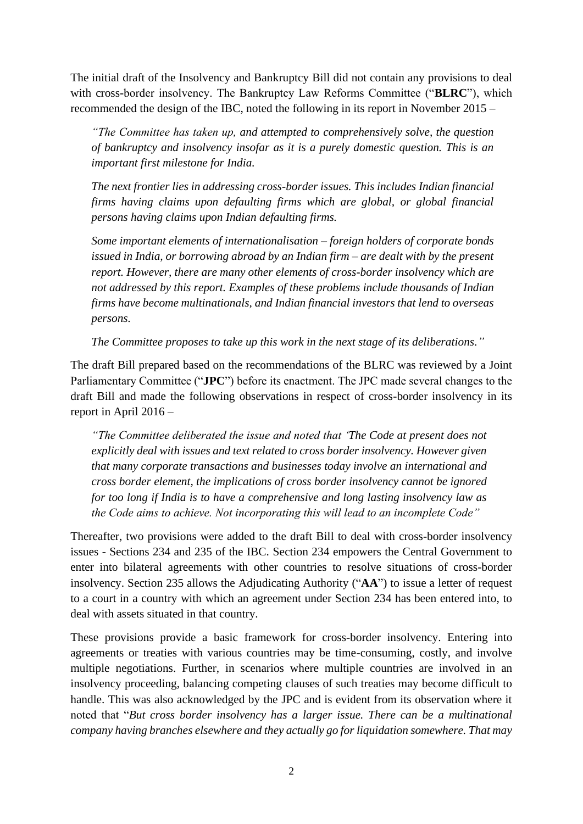The initial draft of the Insolvency and Bankruptcy Bill did not contain any provisions to deal with cross-border insolvency. The Bankruptcy Law Reforms Committee ("**BLRC**"), which recommended the design of the IBC, noted the following in its report in November 2015 –

*"The Committee has taken up, and attempted to comprehensively solve, the question of bankruptcy and insolvency insofar as it is a purely domestic question. This is an important first milestone for India.*

*The next frontier lies in addressing cross-border issues. This includes Indian financial firms having claims upon defaulting firms which are global, or global financial persons having claims upon Indian defaulting firms.*

*Some important elements of internationalisation – foreign holders of corporate bonds issued in India, or borrowing abroad by an Indian firm – are dealt with by the present report. However, there are many other elements of cross-border insolvency which are not addressed by this report. Examples of these problems include thousands of Indian firms have become multinationals, and Indian financial investors that lend to overseas persons.*

*The Committee proposes to take up this work in the next stage of its deliberations."*

The draft Bill prepared based on the recommendations of the BLRC was reviewed by a Joint Parliamentary Committee ("**JPC**") before its enactment. The JPC made several changes to the draft Bill and made the following observations in respect of cross-border insolvency in its report in April 2016 –

*"The Committee deliberated the issue and noted that 'The Code at present does not explicitly deal with issues and text related to cross border insolvency. However given that many corporate transactions and businesses today involve an international and cross border element, the implications of cross border insolvency cannot be ignored for too long if India is to have a comprehensive and long lasting insolvency law as the Code aims to achieve. Not incorporating this will lead to an incomplete Code"*

Thereafter, two provisions were added to the draft Bill to deal with cross-border insolvency issues - Sections 234 and 235 of the IBC. Section 234 empowers the Central Government to enter into bilateral agreements with other countries to resolve situations of cross-border insolvency. Section 235 allows the Adjudicating Authority ("**AA**") to issue a letter of request to a court in a country with which an agreement under Section 234 has been entered into, to deal with assets situated in that country.

These provisions provide a basic framework for cross-border insolvency. Entering into agreements or treaties with various countries may be time-consuming, costly, and involve multiple negotiations. Further, in scenarios where multiple countries are involved in an insolvency proceeding, balancing competing clauses of such treaties may become difficult to handle. This was also acknowledged by the JPC and is evident from its observation where it noted that "*But cross border insolvency has a larger issue. There can be a multinational company having branches elsewhere and they actually go for liquidation somewhere. That may*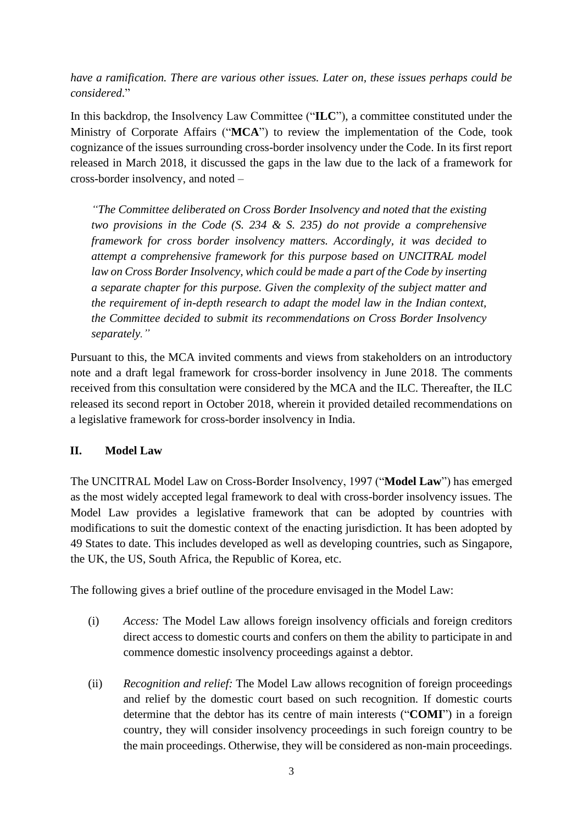*have a ramification. There are various other issues. Later on, these issues perhaps could be considered*."

In this backdrop, the Insolvency Law Committee ("**ILC**"), a committee constituted under the Ministry of Corporate Affairs ("**MCA**") to review the implementation of the Code, took cognizance of the issues surrounding cross-border insolvency under the Code. In its first report released in March 2018, it discussed the gaps in the law due to the lack of a framework for cross-border insolvency, and noted –

*"The Committee deliberated on Cross Border Insolvency and noted that the existing two provisions in the Code (S. 234 & S. 235) do not provide a comprehensive framework for cross border insolvency matters. Accordingly, it was decided to attempt a comprehensive framework for this purpose based on UNCITRAL model law on Cross Border Insolvency, which could be made a part of the Code by inserting a separate chapter for this purpose. Given the complexity of the subject matter and the requirement of in-depth research to adapt the model law in the Indian context, the Committee decided to submit its recommendations on Cross Border Insolvency separately."*

Pursuant to this, the MCA invited comments and views from stakeholders on an introductory note and a draft legal framework for cross-border insolvency in June 2018. The comments received from this consultation were considered by the MCA and the ILC. Thereafter, the ILC released its second report in October 2018, wherein it provided detailed recommendations on a legislative framework for cross-border insolvency in India.

# **II. Model Law**

The UNCITRAL Model Law on Cross-Border Insolvency, 1997 ("**Model Law**") has emerged as the most widely accepted legal framework to deal with cross-border insolvency issues. The Model Law provides a legislative framework that can be adopted by countries with modifications to suit the domestic context of the enacting jurisdiction. It has been adopted by 49 States to date. This includes developed as well as developing countries, such as Singapore, the UK, the US, South Africa, the Republic of Korea, etc.

The following gives a brief outline of the procedure envisaged in the Model Law:

- (i) *Access:* The Model Law allows foreign insolvency officials and foreign creditors direct access to domestic courts and confers on them the ability to participate in and commence domestic insolvency proceedings against a debtor.
- (ii) *Recognition and relief:* The Model Law allows recognition of foreign proceedings and relief by the domestic court based on such recognition. If domestic courts determine that the debtor has its centre of main interests ("**COMI**") in a foreign country, they will consider insolvency proceedings in such foreign country to be the main proceedings. Otherwise, they will be considered as non-main proceedings.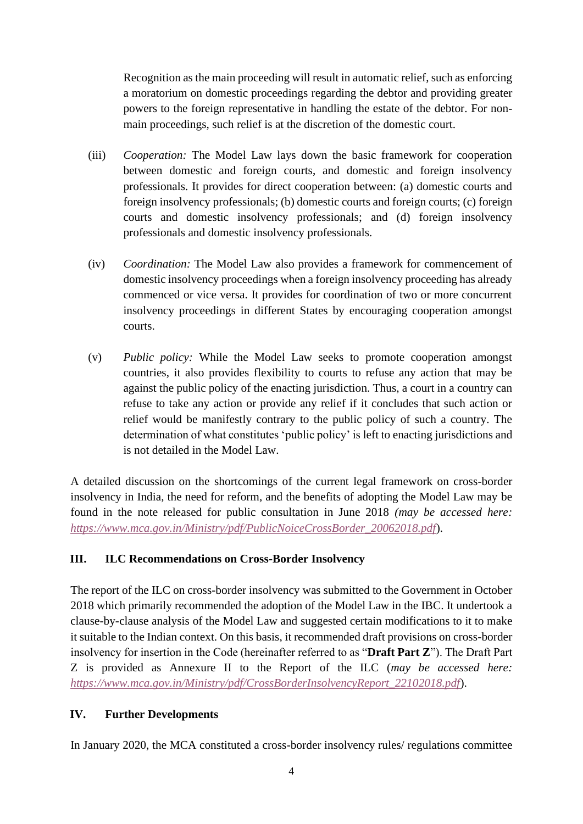Recognition as the main proceeding will result in automatic relief, such as enforcing a moratorium on domestic proceedings regarding the debtor and providing greater powers to the foreign representative in handling the estate of the debtor. For nonmain proceedings, such relief is at the discretion of the domestic court.

- (iii) *Cooperation:* The Model Law lays down the basic framework for cooperation between domestic and foreign courts, and domestic and foreign insolvency professionals. It provides for direct cooperation between: (a) domestic courts and foreign insolvency professionals; (b) domestic courts and foreign courts; (c) foreign courts and domestic insolvency professionals; and (d) foreign insolvency professionals and domestic insolvency professionals.
- (iv) *Coordination:* The Model Law also provides a framework for commencement of domestic insolvency proceedings when a foreign insolvency proceeding has already commenced or vice versa. It provides for coordination of two or more concurrent insolvency proceedings in different States by encouraging cooperation amongst courts.
- (v) *Public policy:* While the Model Law seeks to promote cooperation amongst countries, it also provides flexibility to courts to refuse any action that may be against the public policy of the enacting jurisdiction. Thus, a court in a country can refuse to take any action or provide any relief if it concludes that such action or relief would be manifestly contrary to the public policy of such a country. The determination of what constitutes 'public policy' is left to enacting jurisdictions and is not detailed in the Model Law.

A detailed discussion on the shortcomings of the current legal framework on cross-border insolvency in India, the need for reform, and the benefits of adopting the Model Law may be found in the note released for public consultation in June 2018 *(may be accessed here: [https://www.mca.gov.in/Ministry/pdf/PublicNoiceCrossBorder\\_20062018.pdf](https://www.mca.gov.in/Ministry/pdf/PublicNoiceCrossBorder_20062018.pdf)*).

# **III. ILC Recommendations on Cross-Border Insolvency**

The report of the ILC on cross-border insolvency was submitted to the Government in October 2018 which primarily recommended the adoption of the Model Law in the IBC. It undertook a clause-by-clause analysis of the Model Law and suggested certain modifications to it to make it suitable to the Indian context. On this basis, it recommended draft provisions on cross-border insolvency for insertion in the Code (hereinafter referred to as "**Draft Part Z**"). The Draft Part Z is provided as Annexure II to the Report of the ILC (*may be accessed here: [https://www.mca.gov.in/Ministry/pdf/CrossBorderInsolvencyReport\\_22102018.pdf](https://www.mca.gov.in/Ministry/pdf/CrossBorderInsolvencyReport_22102018.pdf)*).

# **IV. Further Developments**

In January 2020, the MCA constituted a cross-border insolvency rules/ regulations committee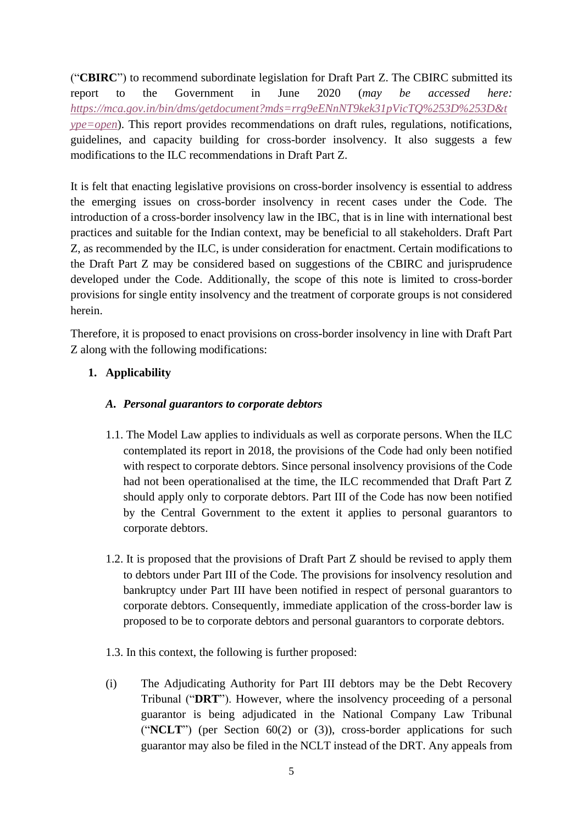("**CBIRC**") to recommend subordinate legislation for Draft Part Z. The CBIRC submitted its report to the Government in June 2020 (*may be accessed here: [https://mca.gov.in/bin/dms/getdocument?mds=rrg9eENnNT9kek31pVicTQ%253D%253D&t](https://mca.gov.in/bin/dms/getdocument?mds=rrg9eENnNT9kek31pVicTQ%253D%253D&type=open) [ype=open](https://mca.gov.in/bin/dms/getdocument?mds=rrg9eENnNT9kek31pVicTQ%253D%253D&type=open)*). This report provides recommendations on draft rules, regulations, notifications, guidelines, and capacity building for cross-border insolvency. It also suggests a few modifications to the ILC recommendations in Draft Part Z.

It is felt that enacting legislative provisions on cross-border insolvency is essential to address the emerging issues on cross-border insolvency in recent cases under the Code. The introduction of a cross-border insolvency law in the IBC, that is in line with international best practices and suitable for the Indian context, may be beneficial to all stakeholders. Draft Part Z, as recommended by the ILC, is under consideration for enactment. Certain modifications to the Draft Part Z may be considered based on suggestions of the CBIRC and jurisprudence developed under the Code. Additionally, the scope of this note is limited to cross-border provisions for single entity insolvency and the treatment of corporate groups is not considered herein.

Therefore, it is proposed to enact provisions on cross-border insolvency in line with Draft Part Z along with the following modifications:

# **1. Applicability**

### *A. Personal guarantors to corporate debtors*

- 1.1. The Model Law applies to individuals as well as corporate persons. When the ILC contemplated its report in 2018, the provisions of the Code had only been notified with respect to corporate debtors. Since personal insolvency provisions of the Code had not been operationalised at the time, the ILC recommended that Draft Part Z should apply only to corporate debtors. Part III of the Code has now been notified by the Central Government to the extent it applies to personal guarantors to corporate debtors.
- 1.2. It is proposed that the provisions of Draft Part Z should be revised to apply them to debtors under Part III of the Code. The provisions for insolvency resolution and bankruptcy under Part III have been notified in respect of personal guarantors to corporate debtors. Consequently, immediate application of the cross-border law is proposed to be to corporate debtors and personal guarantors to corporate debtors.
- 1.3. In this context, the following is further proposed:
- (i) The Adjudicating Authority for Part III debtors may be the Debt Recovery Tribunal ("**DRT**"). However, where the insolvency proceeding of a personal guarantor is being adjudicated in the National Company Law Tribunal ("**NCLT**") (per Section 60(2) or (3)), cross-border applications for such guarantor may also be filed in the NCLT instead of the DRT. Any appeals from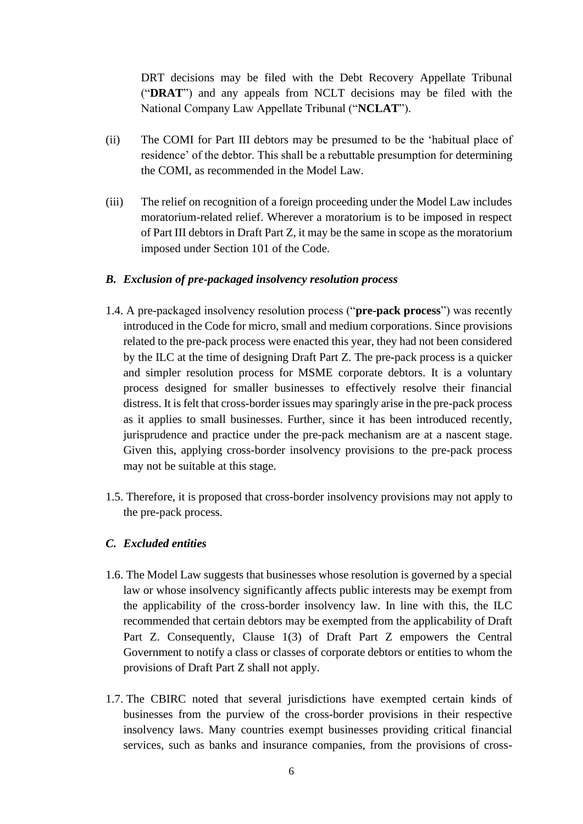DRT decisions may be filed with the Debt Recovery Appellate Tribunal ("**DRAT**") and any appeals from NCLT decisions may be filed with the National Company Law Appellate Tribunal ("**NCLAT**").

- (ii) The COMI for Part III debtors may be presumed to be the 'habitual place of residence' of the debtor. This shall be a rebuttable presumption for determining the COMI, as recommended in the Model Law.
- (iii) The relief on recognition of a foreign proceeding under the Model Law includes moratorium-related relief. Wherever a moratorium is to be imposed in respect of Part III debtors in Draft Part Z, it may be the same in scope as the moratorium imposed under Section 101 of the Code.

#### *B. Exclusion of pre-packaged insolvency resolution process*

- 1.4. A pre-packaged insolvency resolution process ("**pre-pack process**") was recently introduced in the Code for micro, small and medium corporations. Since provisions related to the pre-pack process were enacted this year, they had not been considered by the ILC at the time of designing Draft Part Z. The pre-pack process is a quicker and simpler resolution process for MSME corporate debtors. It is a voluntary process designed for smaller businesses to effectively resolve their financial distress. It is felt that cross-border issues may sparingly arise in the pre-pack process as it applies to small businesses. Further, since it has been introduced recently, jurisprudence and practice under the pre-pack mechanism are at a nascent stage. Given this, applying cross-border insolvency provisions to the pre-pack process may not be suitable at this stage.
- 1.5. Therefore, it is proposed that cross-border insolvency provisions may not apply to the pre-pack process.

#### *C. Excluded entities*

- 1.6. The Model Law suggests that businesses whose resolution is governed by a special law or whose insolvency significantly affects public interests may be exempt from the applicability of the cross-border insolvency law. In line with this, the ILC recommended that certain debtors may be exempted from the applicability of Draft Part Z. Consequently, Clause 1(3) of Draft Part Z empowers the Central Government to notify a class or classes of corporate debtors or entities to whom the provisions of Draft Part Z shall not apply.
- 1.7. The CBIRC noted that several jurisdictions have exempted certain kinds of businesses from the purview of the cross-border provisions in their respective insolvency laws. Many countries exempt businesses providing critical financial services, such as banks and insurance companies, from the provisions of cross-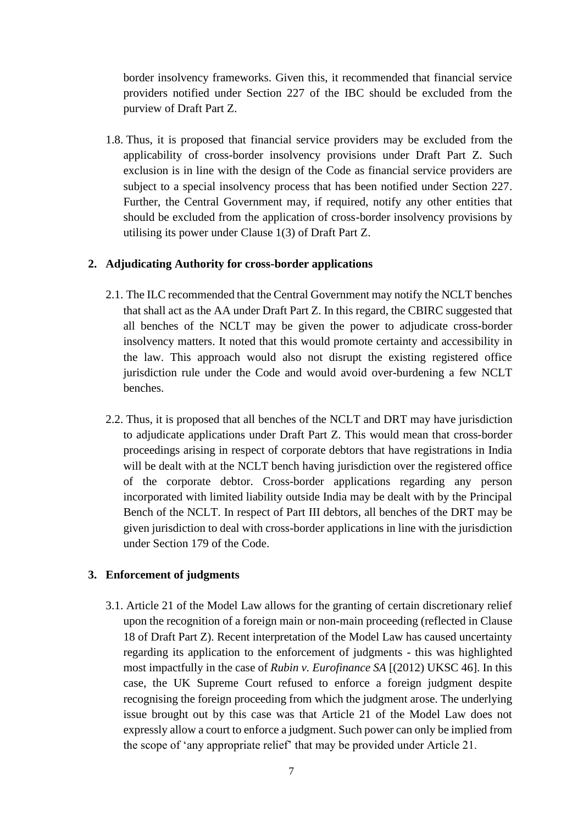border insolvency frameworks. Given this, it recommended that financial service providers notified under Section 227 of the IBC should be excluded from the purview of Draft Part Z.

1.8. Thus, it is proposed that financial service providers may be excluded from the applicability of cross-border insolvency provisions under Draft Part Z. Such exclusion is in line with the design of the Code as financial service providers are subject to a special insolvency process that has been notified under Section 227. Further, the Central Government may, if required, notify any other entities that should be excluded from the application of cross-border insolvency provisions by utilising its power under Clause 1(3) of Draft Part Z.

#### **2. Adjudicating Authority for cross-border applications**

- 2.1. The ILC recommended that the Central Government may notify the NCLT benches that shall act as the AA under Draft Part Z. In this regard, the CBIRC suggested that all benches of the NCLT may be given the power to adjudicate cross-border insolvency matters. It noted that this would promote certainty and accessibility in the law. This approach would also not disrupt the existing registered office jurisdiction rule under the Code and would avoid over-burdening a few NCLT benches.
- 2.2. Thus, it is proposed that all benches of the NCLT and DRT may have jurisdiction to adjudicate applications under Draft Part Z. This would mean that cross-border proceedings arising in respect of corporate debtors that have registrations in India will be dealt with at the NCLT bench having jurisdiction over the registered office of the corporate debtor. Cross-border applications regarding any person incorporated with limited liability outside India may be dealt with by the Principal Bench of the NCLT. In respect of Part III debtors, all benches of the DRT may be given jurisdiction to deal with cross-border applications in line with the jurisdiction under Section 179 of the Code.

#### **3. Enforcement of judgments**

3.1. Article 21 of the Model Law allows for the granting of certain discretionary relief upon the recognition of a foreign main or non-main proceeding (reflected in Clause 18 of Draft Part Z). Recent interpretation of the Model Law has caused uncertainty regarding its application to the enforcement of judgments - this was highlighted most impactfully in the case of *Rubin v. Eurofinance SA* [(2012) UKSC 46]. In this case, the UK Supreme Court refused to enforce a foreign judgment despite recognising the foreign proceeding from which the judgment arose. The underlying issue brought out by this case was that Article 21 of the Model Law does not expressly allow a court to enforce a judgment. Such power can only be implied from the scope of 'any appropriate relief' that may be provided under Article 21.